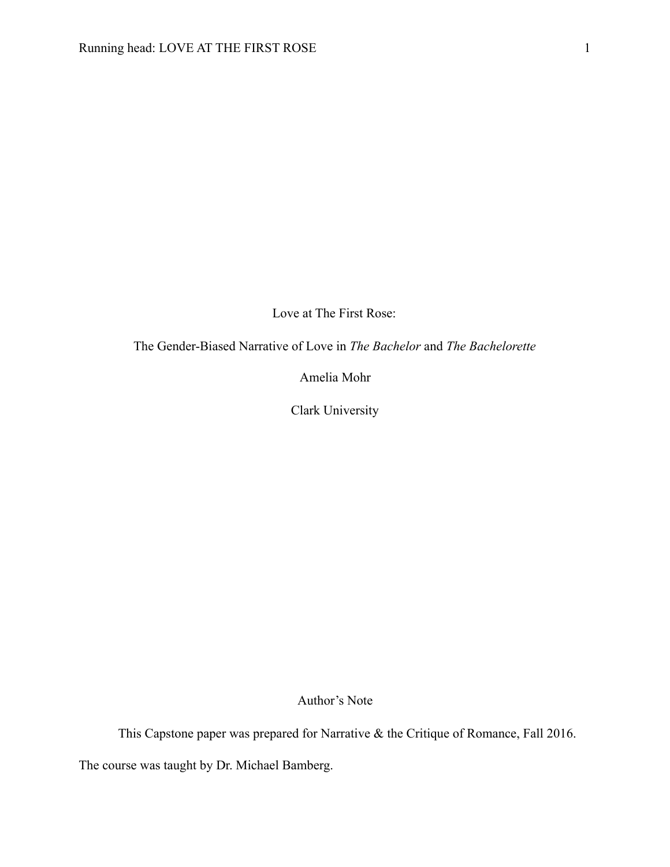Love at The First Rose:

The Gender-Biased Narrative of Love in *The Bachelor* and *The Bachelorette*

Amelia Mohr

Clark University

Author's Note

This Capstone paper was prepared for Narrative & the Critique of Romance, Fall 2016.

The course was taught by Dr. Michael Bamberg.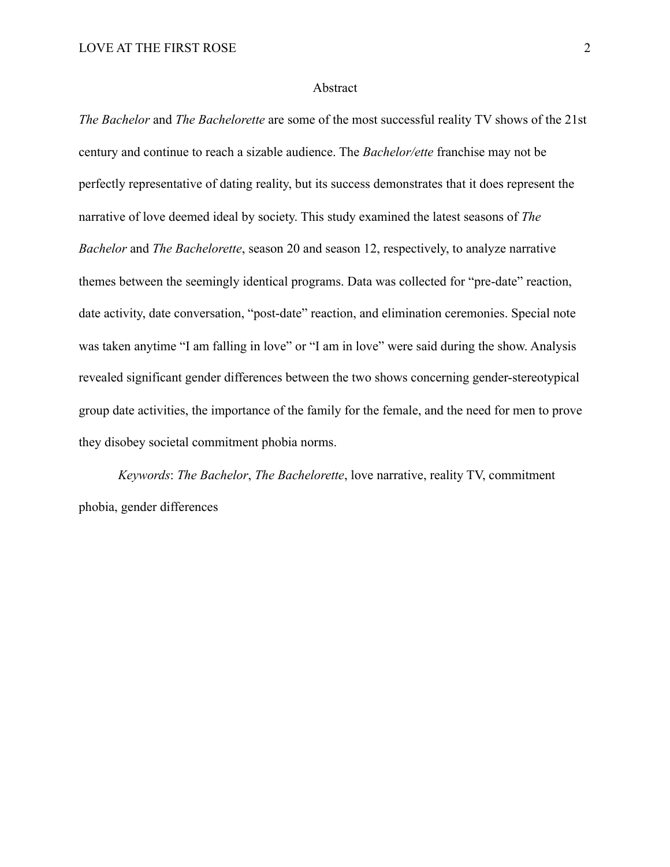#### Abstract

*The Bachelor* and *The Bachelorette* are some of the most successful reality TV shows of the 21st century and continue to reach a sizable audience. The *Bachelor/ette* franchise may not be perfectly representative of dating reality, but its success demonstrates that it does represent the narrative of love deemed ideal by society. This study examined the latest seasons of *The Bachelor* and *The Bachelorette*, season 20 and season 12, respectively, to analyze narrative themes between the seemingly identical programs. Data was collected for "pre-date" reaction, date activity, date conversation, "post-date" reaction, and elimination ceremonies. Special note was taken anytime "I am falling in love" or "I am in love" were said during the show. Analysis revealed significant gender differences between the two shows concerning gender-stereotypical group date activities, the importance of the family for the female, and the need for men to prove they disobey societal commitment phobia norms.

*Keywords*: *The Bachelor*, *The Bachelorette*, love narrative, reality TV, commitment phobia, gender differences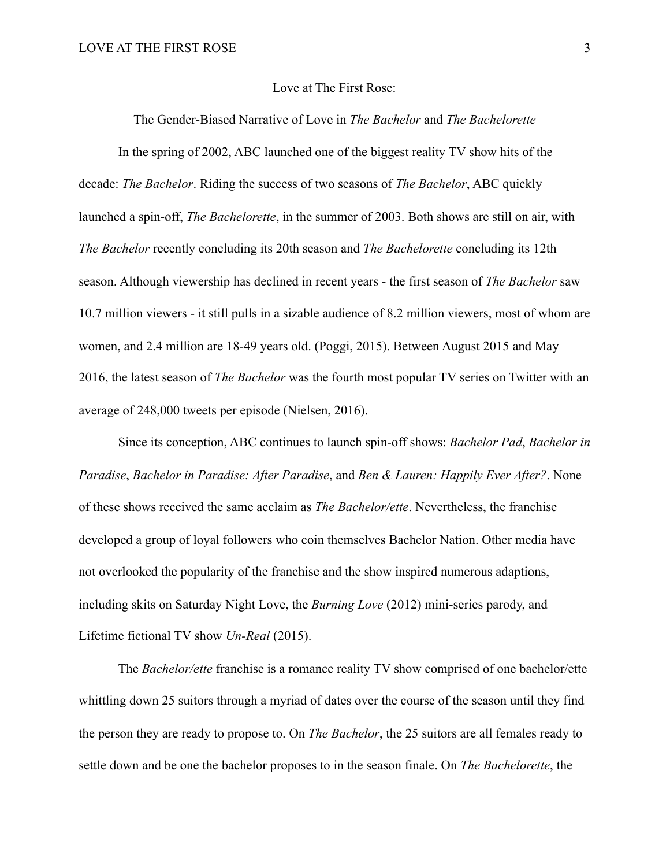### Love at The First Rose:

The Gender-Biased Narrative of Love in *The Bachelor* and *The Bachelorette*

 In the spring of 2002, ABC launched one of the biggest reality TV show hits of the decade: *The Bachelor*. Riding the success of two seasons of *The Bachelor*, ABC quickly launched a spin-off, *The Bachelorette*, in the summer of 2003. Both shows are still on air, with *The Bachelor* recently concluding its 20th season and *The Bachelorette* concluding its 12th season. Although viewership has declined in recent years - the first season of *The Bachelor* saw 10.7 million viewers - it still pulls in a sizable audience of 8.2 million viewers, most of whom are women, and 2.4 million are 18-49 years old. (Poggi, 2015). Between August 2015 and May 2016, the latest season of *The Bachelor* was the fourth most popular TV series on Twitter with an average of 248,000 tweets per episode (Nielsen, 2016).

 Since its conception, ABC continues to launch spin-off shows: *Bachelor Pad*, *Bachelor in Paradise*, *Bachelor in Paradise: After Paradise*, and *Ben & Lauren: Happily Ever After?*. None of these shows received the same acclaim as *The Bachelor/ette*. Nevertheless, the franchise developed a group of loyal followers who coin themselves Bachelor Nation. Other media have not overlooked the popularity of the franchise and the show inspired numerous adaptions, including skits on Saturday Night Love, the *Burning Love* (2012) mini-series parody, and Lifetime fictional TV show *Un-Real* (2015).

 The *Bachelor/ette* franchise is a romance reality TV show comprised of one bachelor/ette whittling down 25 suitors through a myriad of dates over the course of the season until they find the person they are ready to propose to. On *The Bachelor*, the 25 suitors are all females ready to settle down and be one the bachelor proposes to in the season finale. On *The Bachelorette*, the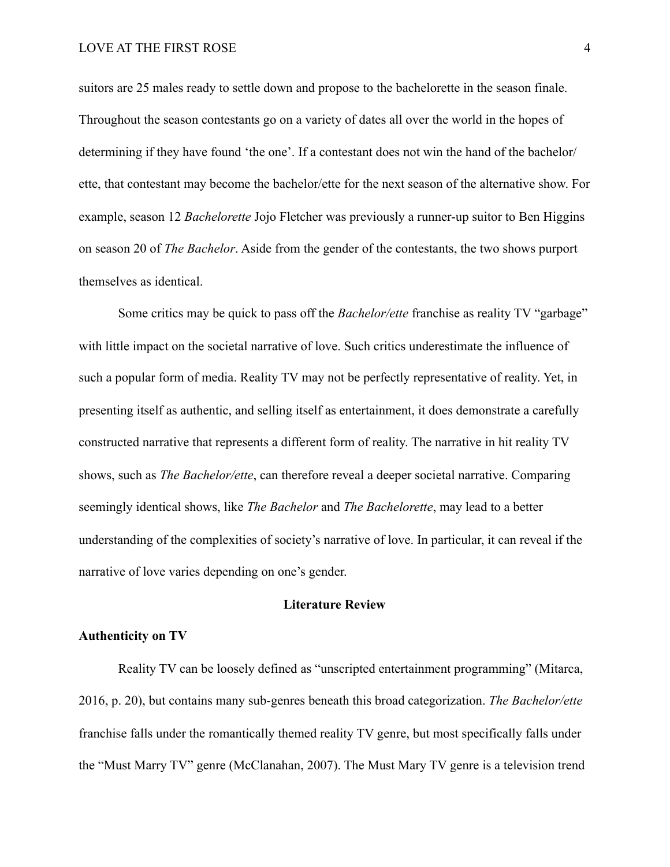suitors are 25 males ready to settle down and propose to the bachelorette in the season finale. Throughout the season contestants go on a variety of dates all over the world in the hopes of determining if they have found 'the one'. If a contestant does not win the hand of the bachelor/ ette, that contestant may become the bachelor/ette for the next season of the alternative show. For example, season 12 *Bachelorette* Jojo Fletcher was previously a runner-up suitor to Ben Higgins on season 20 of *The Bachelor*. Aside from the gender of the contestants, the two shows purport themselves as identical.

 Some critics may be quick to pass off the *Bachelor/ette* franchise as reality TV "garbage" with little impact on the societal narrative of love. Such critics underestimate the influence of such a popular form of media. Reality TV may not be perfectly representative of reality. Yet, in presenting itself as authentic, and selling itself as entertainment, it does demonstrate a carefully constructed narrative that represents a different form of reality. The narrative in hit reality TV shows, such as *The Bachelor/ette*, can therefore reveal a deeper societal narrative. Comparing seemingly identical shows, like *The Bachelor* and *The Bachelorette*, may lead to a better understanding of the complexities of society's narrative of love. In particular, it can reveal if the narrative of love varies depending on one's gender.

# **Literature Review**

### **Authenticity on TV**

 Reality TV can be loosely defined as "unscripted entertainment programming" (Mitarca, 2016, p. 20), but contains many sub-genres beneath this broad categorization. *The Bachelor/ette* franchise falls under the romantically themed reality TV genre, but most specifically falls under the "Must Marry TV" genre (McClanahan, 2007). The Must Mary TV genre is a television trend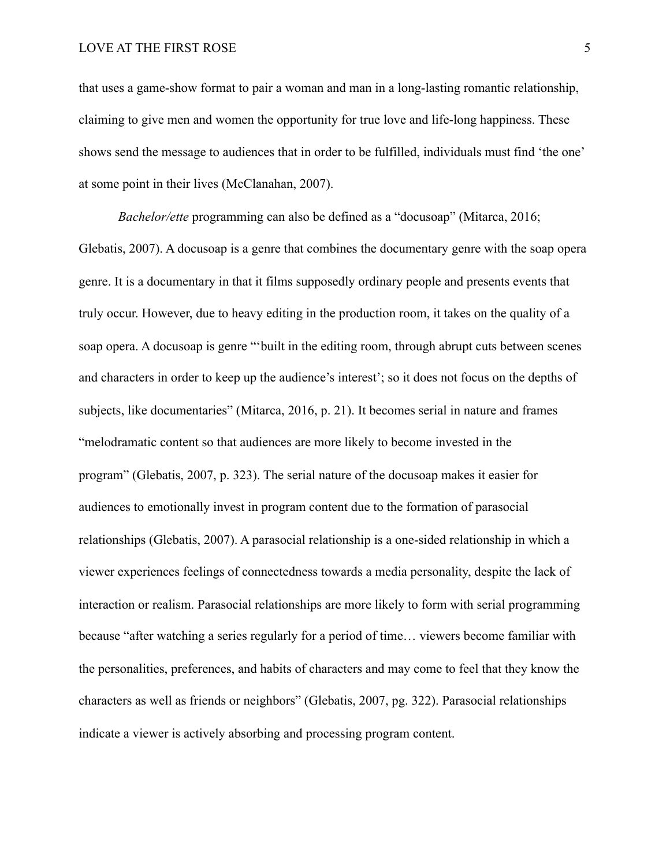that uses a game-show format to pair a woman and man in a long-lasting romantic relationship, claiming to give men and women the opportunity for true love and life-long happiness. These shows send the message to audiences that in order to be fulfilled, individuals must find 'the one' at some point in their lives (McClanahan, 2007).

*Bachelor/ette* programming can also be defined as a "docusoap" (Mitarca, 2016; Glebatis, 2007). A docusoap is a genre that combines the documentary genre with the soap opera genre. It is a documentary in that it films supposedly ordinary people and presents events that truly occur. However, due to heavy editing in the production room, it takes on the quality of a soap opera. A docusoap is genre "'built in the editing room, through abrupt cuts between scenes and characters in order to keep up the audience's interest'; so it does not focus on the depths of subjects, like documentaries" (Mitarca, 2016, p. 21). It becomes serial in nature and frames "melodramatic content so that audiences are more likely to become invested in the program" (Glebatis, 2007, p. 323). The serial nature of the docusoap makes it easier for audiences to emotionally invest in program content due to the formation of parasocial relationships (Glebatis, 2007). A parasocial relationship is a one-sided relationship in which a viewer experiences feelings of connectedness towards a media personality, despite the lack of interaction or realism. Parasocial relationships are more likely to form with serial programming because "after watching a series regularly for a period of time… viewers become familiar with the personalities, preferences, and habits of characters and may come to feel that they know the characters as well as friends or neighbors" (Glebatis, 2007, pg. 322). Parasocial relationships indicate a viewer is actively absorbing and processing program content.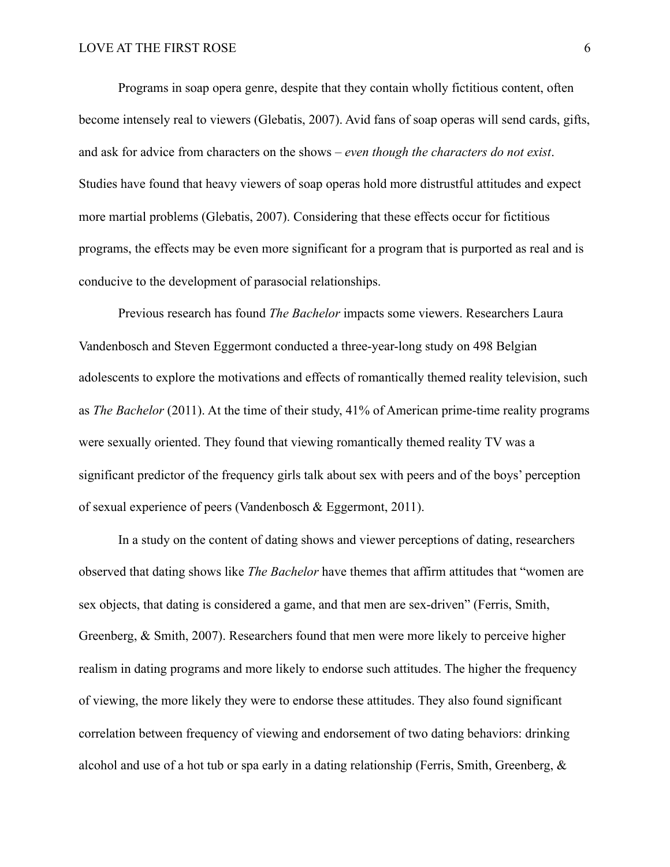Programs in soap opera genre, despite that they contain wholly fictitious content, often become intensely real to viewers (Glebatis, 2007). Avid fans of soap operas will send cards, gifts, and ask for advice from characters on the shows – *even though the characters do not exist*. Studies have found that heavy viewers of soap operas hold more distrustful attitudes and expect more martial problems (Glebatis, 2007). Considering that these effects occur for fictitious programs, the effects may be even more significant for a program that is purported as real and is conducive to the development of parasocial relationships.

 Previous research has found *The Bachelor* impacts some viewers. Researchers Laura Vandenbosch and Steven Eggermont conducted a three-year-long study on 498 Belgian adolescents to explore the motivations and effects of romantically themed reality television, such as *The Bachelor* (2011). At the time of their study, 41% of American prime-time reality programs were sexually oriented. They found that viewing romantically themed reality TV was a significant predictor of the frequency girls talk about sex with peers and of the boys' perception of sexual experience of peers (Vandenbosch & Eggermont, 2011).

 In a study on the content of dating shows and viewer perceptions of dating, researchers observed that dating shows like *The Bachelor* have themes that affirm attitudes that "women are sex objects, that dating is considered a game, and that men are sex-driven" (Ferris, Smith, Greenberg, & Smith, 2007). Researchers found that men were more likely to perceive higher realism in dating programs and more likely to endorse such attitudes. The higher the frequency of viewing, the more likely they were to endorse these attitudes. They also found significant correlation between frequency of viewing and endorsement of two dating behaviors: drinking alcohol and use of a hot tub or spa early in a dating relationship (Ferris, Smith, Greenberg,  $\&$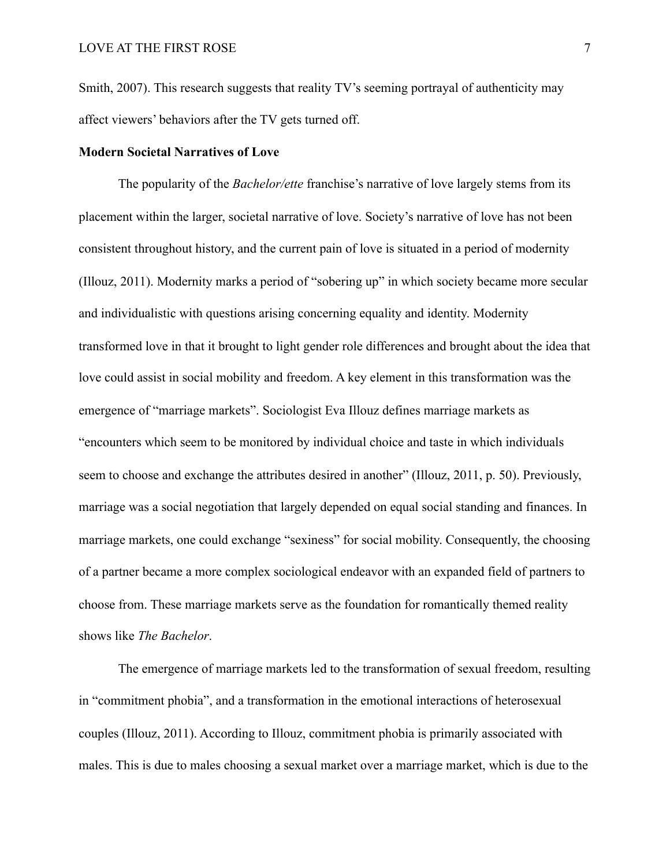Smith, 2007). This research suggests that reality TV's seeming portrayal of authenticity may affect viewers' behaviors after the TV gets turned off.

# **Modern Societal Narratives of Love**

 The popularity of the *Bachelor/ette* franchise's narrative of love largely stems from its placement within the larger, societal narrative of love. Society's narrative of love has not been consistent throughout history, and the current pain of love is situated in a period of modernity (Illouz, 2011). Modernity marks a period of "sobering up" in which society became more secular and individualistic with questions arising concerning equality and identity. Modernity transformed love in that it brought to light gender role differences and brought about the idea that love could assist in social mobility and freedom. A key element in this transformation was the emergence of "marriage markets". Sociologist Eva Illouz defines marriage markets as "encounters which seem to be monitored by individual choice and taste in which individuals seem to choose and exchange the attributes desired in another" (Illouz, 2011, p. 50). Previously, marriage was a social negotiation that largely depended on equal social standing and finances. In marriage markets, one could exchange "sexiness" for social mobility. Consequently, the choosing of a partner became a more complex sociological endeavor with an expanded field of partners to choose from. These marriage markets serve as the foundation for romantically themed reality shows like *The Bachelor*.

 The emergence of marriage markets led to the transformation of sexual freedom, resulting in "commitment phobia", and a transformation in the emotional interactions of heterosexual couples (Illouz, 2011). According to Illouz, commitment phobia is primarily associated with males. This is due to males choosing a sexual market over a marriage market, which is due to the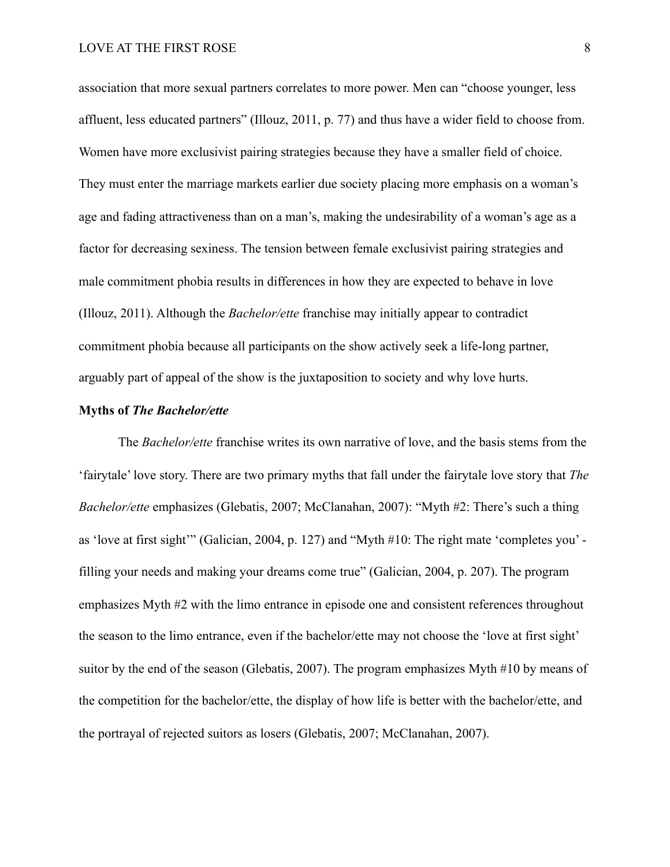association that more sexual partners correlates to more power. Men can "choose younger, less affluent, less educated partners" (Illouz, 2011, p. 77) and thus have a wider field to choose from. Women have more exclusivist pairing strategies because they have a smaller field of choice. They must enter the marriage markets earlier due society placing more emphasis on a woman's age and fading attractiveness than on a man's, making the undesirability of a woman's age as a factor for decreasing sexiness. The tension between female exclusivist pairing strategies and male commitment phobia results in differences in how they are expected to behave in love (Illouz, 2011). Although the *Bachelor/ette* franchise may initially appear to contradict commitment phobia because all participants on the show actively seek a life-long partner, arguably part of appeal of the show is the juxtaposition to society and why love hurts.

### **Myths of** *The Bachelor/ette*

 The *Bachelor/ette* franchise writes its own narrative of love, and the basis stems from the 'fairytale' love story. There are two primary myths that fall under the fairytale love story that *The Bachelor/ette* emphasizes (Glebatis, 2007; McClanahan, 2007): "Myth #2: There's such a thing as 'love at first sight'" (Galician, 2004, p. 127) and "Myth #10: The right mate 'completes you' filling your needs and making your dreams come true" (Galician, 2004, p. 207). The program emphasizes Myth #2 with the limo entrance in episode one and consistent references throughout the season to the limo entrance, even if the bachelor/ette may not choose the 'love at first sight' suitor by the end of the season (Glebatis, 2007). The program emphasizes Myth #10 by means of the competition for the bachelor/ette, the display of how life is better with the bachelor/ette, and the portrayal of rejected suitors as losers (Glebatis, 2007; McClanahan, 2007).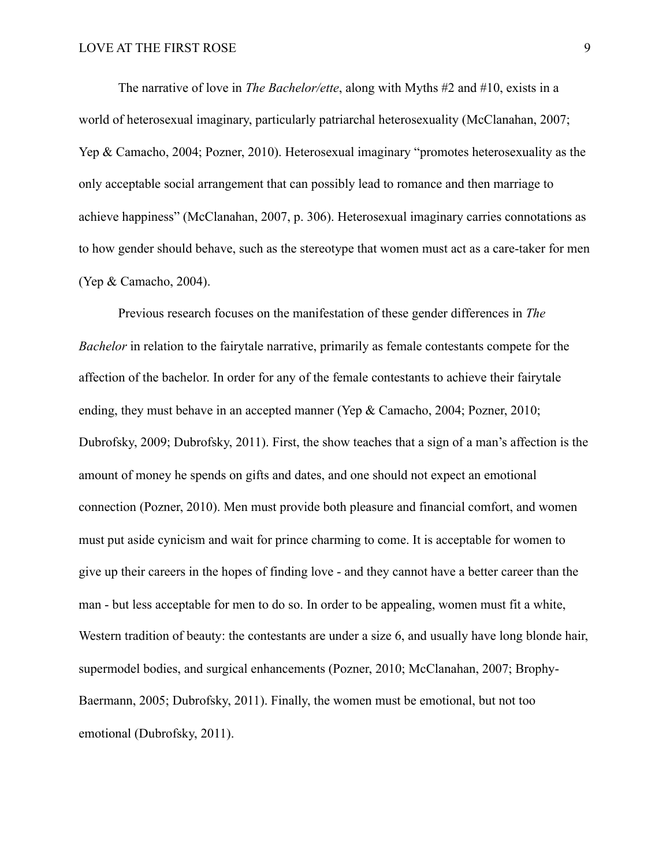The narrative of love in *The Bachelor/ette*, along with Myths #2 and #10, exists in a world of heterosexual imaginary, particularly patriarchal heterosexuality (McClanahan, 2007; Yep & Camacho, 2004; Pozner, 2010). Heterosexual imaginary "promotes heterosexuality as the only acceptable social arrangement that can possibly lead to romance and then marriage to achieve happiness" (McClanahan, 2007, p. 306). Heterosexual imaginary carries connotations as to how gender should behave, such as the stereotype that women must act as a care-taker for men (Yep & Camacho, 2004).

 Previous research focuses on the manifestation of these gender differences in *The Bachelor* in relation to the fairytale narrative, primarily as female contestants compete for the affection of the bachelor. In order for any of the female contestants to achieve their fairytale ending, they must behave in an accepted manner (Yep & Camacho, 2004; Pozner, 2010; Dubrofsky, 2009; Dubrofsky, 2011). First, the show teaches that a sign of a man's affection is the amount of money he spends on gifts and dates, and one should not expect an emotional connection (Pozner, 2010). Men must provide both pleasure and financial comfort, and women must put aside cynicism and wait for prince charming to come. It is acceptable for women to give up their careers in the hopes of finding love - and they cannot have a better career than the man - but less acceptable for men to do so. In order to be appealing, women must fit a white, Western tradition of beauty: the contestants are under a size 6, and usually have long blonde hair, supermodel bodies, and surgical enhancements (Pozner, 2010; McClanahan, 2007; Brophy-Baermann, 2005; Dubrofsky, 2011). Finally, the women must be emotional, but not too emotional (Dubrofsky, 2011).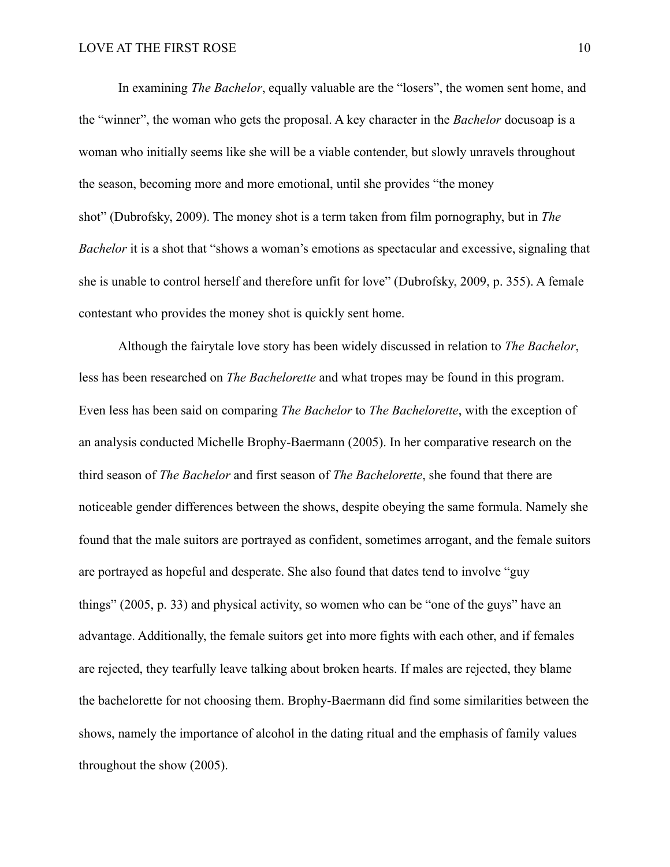In examining *The Bachelor*, equally valuable are the "losers", the women sent home, and the "winner", the woman who gets the proposal. A key character in the *Bachelor* docusoap is a woman who initially seems like she will be a viable contender, but slowly unravels throughout the season, becoming more and more emotional, until she provides "the money shot" (Dubrofsky, 2009). The money shot is a term taken from film pornography, but in *The Bachelor* it is a shot that "shows a woman's emotions as spectacular and excessive, signaling that she is unable to control herself and therefore unfit for love" (Dubrofsky, 2009, p. 355). A female contestant who provides the money shot is quickly sent home.

 Although the fairytale love story has been widely discussed in relation to *The Bachelor*, less has been researched on *The Bachelorette* and what tropes may be found in this program. Even less has been said on comparing *The Bachelor* to *The Bachelorette*, with the exception of an analysis conducted Michelle Brophy-Baermann (2005). In her comparative research on the third season of *The Bachelor* and first season of *The Bachelorette*, she found that there are noticeable gender differences between the shows, despite obeying the same formula. Namely she found that the male suitors are portrayed as confident, sometimes arrogant, and the female suitors are portrayed as hopeful and desperate. She also found that dates tend to involve "guy things" (2005, p. 33) and physical activity, so women who can be "one of the guys" have an advantage. Additionally, the female suitors get into more fights with each other, and if females are rejected, they tearfully leave talking about broken hearts. If males are rejected, they blame the bachelorette for not choosing them. Brophy-Baermann did find some similarities between the shows, namely the importance of alcohol in the dating ritual and the emphasis of family values throughout the show (2005).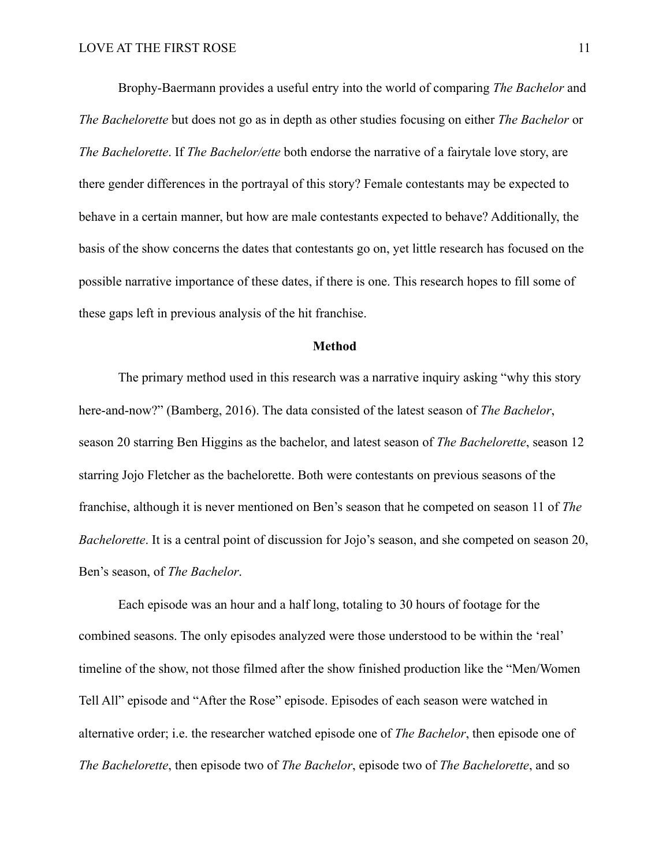Brophy-Baermann provides a useful entry into the world of comparing *The Bachelor* and *The Bachelorette* but does not go as in depth as other studies focusing on either *The Bachelor* or *The Bachelorette*. If *The Bachelor/ette* both endorse the narrative of a fairytale love story, are there gender differences in the portrayal of this story? Female contestants may be expected to behave in a certain manner, but how are male contestants expected to behave? Additionally, the basis of the show concerns the dates that contestants go on, yet little research has focused on the possible narrative importance of these dates, if there is one. This research hopes to fill some of these gaps left in previous analysis of the hit franchise.

### **Method**

 The primary method used in this research was a narrative inquiry asking "why this story here-and-now?" (Bamberg, 2016). The data consisted of the latest season of *The Bachelor*, season 20 starring Ben Higgins as the bachelor, and latest season of *The Bachelorette*, season 12 starring Jojo Fletcher as the bachelorette. Both were contestants on previous seasons of the franchise, although it is never mentioned on Ben's season that he competed on season 11 of *The Bachelorette*. It is a central point of discussion for Jojo's season, and she competed on season 20, Ben's season, of *The Bachelor*.

 Each episode was an hour and a half long, totaling to 30 hours of footage for the combined seasons. The only episodes analyzed were those understood to be within the 'real' timeline of the show, not those filmed after the show finished production like the "Men/Women Tell All" episode and "After the Rose" episode. Episodes of each season were watched in alternative order; i.e. the researcher watched episode one of *The Bachelor*, then episode one of *The Bachelorette*, then episode two of *The Bachelor*, episode two of *The Bachelorette*, and so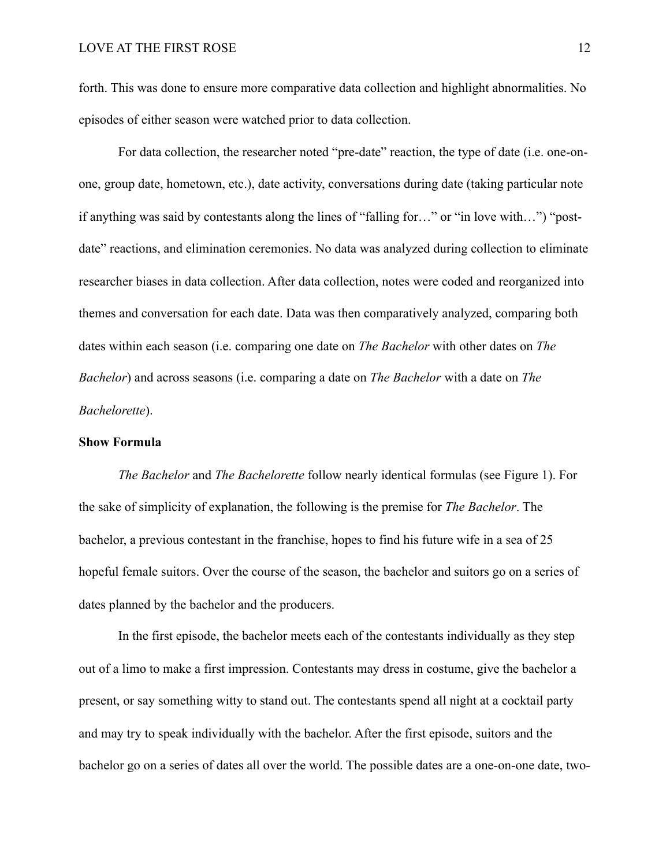forth. This was done to ensure more comparative data collection and highlight abnormalities. No episodes of either season were watched prior to data collection.

 For data collection, the researcher noted "pre-date" reaction, the type of date (i.e. one-onone, group date, hometown, etc.), date activity, conversations during date (taking particular note if anything was said by contestants along the lines of "falling for…" or "in love with…") "postdate" reactions, and elimination ceremonies. No data was analyzed during collection to eliminate researcher biases in data collection. After data collection, notes were coded and reorganized into themes and conversation for each date. Data was then comparatively analyzed, comparing both dates within each season (i.e. comparing one date on *The Bachelor* with other dates on *The Bachelor*) and across seasons (i.e. comparing a date on *The Bachelor* with a date on *The Bachelorette*).

### **Show Formula**

*The Bachelor* and *The Bachelorette* follow nearly identical formulas (see Figure 1). For the sake of simplicity of explanation, the following is the premise for *The Bachelor*. The bachelor, a previous contestant in the franchise, hopes to find his future wife in a sea of 25 hopeful female suitors. Over the course of the season, the bachelor and suitors go on a series of dates planned by the bachelor and the producers.

 In the first episode, the bachelor meets each of the contestants individually as they step out of a limo to make a first impression. Contestants may dress in costume, give the bachelor a present, or say something witty to stand out. The contestants spend all night at a cocktail party and may try to speak individually with the bachelor. After the first episode, suitors and the bachelor go on a series of dates all over the world. The possible dates are a one-on-one date, two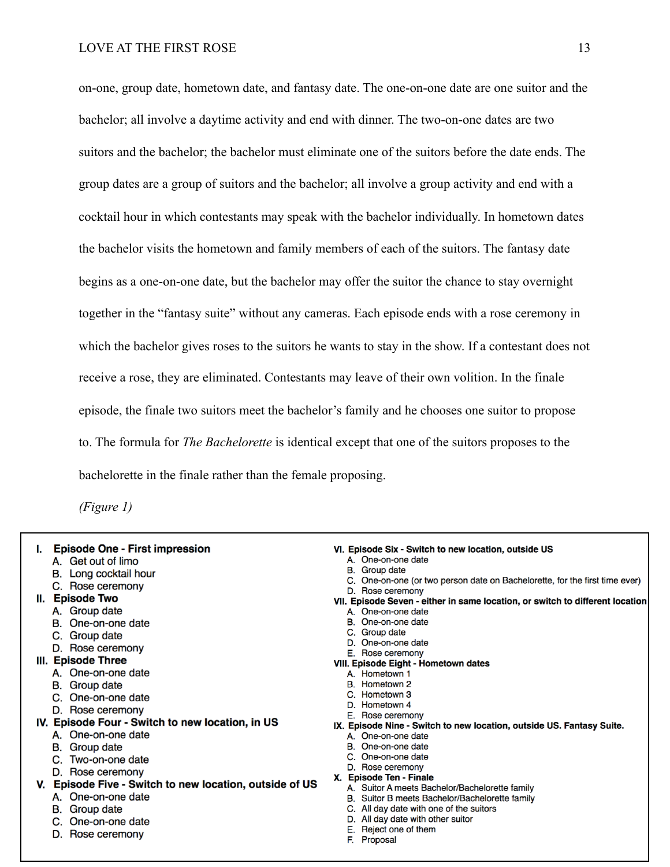on-one, group date, hometown date, and fantasy date. The one-on-one date are one suitor and the bachelor; all involve a daytime activity and end with dinner. The two-on-one dates are two suitors and the bachelor; the bachelor must eliminate one of the suitors before the date ends. The group dates are a group of suitors and the bachelor; all involve a group activity and end with a cocktail hour in which contestants may speak with the bachelor individually. In hometown dates the bachelor visits the hometown and family members of each of the suitors. The fantasy date begins as a one-on-one date, but the bachelor may offer the suitor the chance to stay overnight together in the "fantasy suite" without any cameras. Each episode ends with a rose ceremony in which the bachelor gives roses to the suitors he wants to stay in the show. If a contestant does not receive a rose, they are eliminated. Contestants may leave of their own volition. In the finale episode, the finale two suitors meet the bachelor's family and he chooses one suitor to propose to. The formula for *The Bachelorette* is identical except that one of the suitors proposes to the bachelorette in the finale rather than the female proposing.

*(Figure 1)*

| <b>Episode One - First impression</b>                      | VI. Episode Six - Switch to new location, outside US                                              |
|------------------------------------------------------------|---------------------------------------------------------------------------------------------------|
| A. Get out of limo                                         | A. One-on-one date                                                                                |
| Long cocktail hour<br>В.                                   | B. Group date                                                                                     |
| C. Rose ceremony                                           | C. One-on-one (or two person date on Bachelorette, for the first time ever)                       |
| <b>Episode Two</b><br>н.                                   | D. Rose ceremony<br>VII. Episode Seven - either in same location, or switch to different location |
| A. Group date                                              | A. One-on-one date                                                                                |
| One-on-one date<br>В.                                      | B. One-on-one date                                                                                |
| C. Group date                                              | Group date                                                                                        |
| D. Rose ceremony                                           | One-on-one date<br>D.                                                                             |
|                                                            | E. Rose ceremony                                                                                  |
| III. Episode Three                                         | <b>VIII. Episode Eight - Hometown dates</b>                                                       |
| A. One-on-one date                                         | A. Hometown 1                                                                                     |
| B. Group date                                              | Hometown 2<br>В.                                                                                  |
| One-on-one date                                            | Hometown 3                                                                                        |
| D. Rose ceremony                                           | Hometown 4<br>D                                                                                   |
| IV. Episode Four - Switch to new location, in US           | E. Rose ceremony<br>IX. Episode Nine - Switch to new location, outside US. Fantasy Suite.         |
| A. One-on-one date                                         | A. One-on-one date                                                                                |
| Group date<br>В.                                           | One-on-one date<br>В.                                                                             |
| C. Two-on-one date                                         | C. One-on-one date                                                                                |
|                                                            | D. Rose ceremony                                                                                  |
| D. Rose ceremony                                           | <b>Episode Ten - Finale</b><br>X.                                                                 |
| Episode Five - Switch to new location, outside of US<br>v. | A. Suitor A meets Bachelor/Bachelorette family                                                    |
| A. One-on-one date                                         | Suitor B meets Bachelor/Bachelorette family<br>В.                                                 |
| B. Group date                                              | All day date with one of the suitors                                                              |
| One-on-one date                                            | All day date with other suitor                                                                    |
| Rose ceremony                                              | Reject one of them<br>Е.                                                                          |
|                                                            | F. Proposal                                                                                       |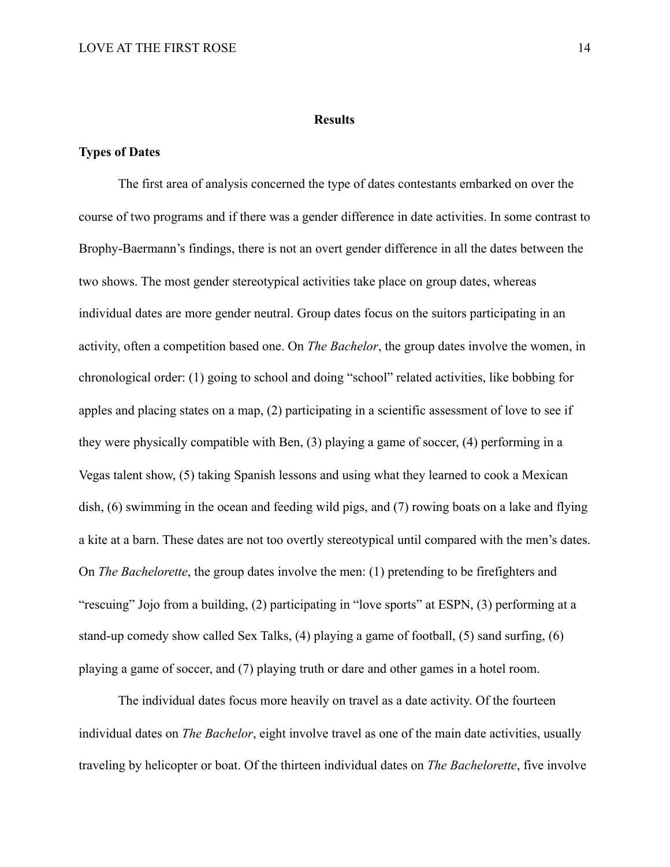#### **Results**

# **Types of Dates**

 The first area of analysis concerned the type of dates contestants embarked on over the course of two programs and if there was a gender difference in date activities. In some contrast to Brophy-Baermann's findings, there is not an overt gender difference in all the dates between the two shows. The most gender stereotypical activities take place on group dates, whereas individual dates are more gender neutral. Group dates focus on the suitors participating in an activity, often a competition based one. On *The Bachelor*, the group dates involve the women, in chronological order: (1) going to school and doing "school" related activities, like bobbing for apples and placing states on a map, (2) participating in a scientific assessment of love to see if they were physically compatible with Ben, (3) playing a game of soccer, (4) performing in a Vegas talent show, (5) taking Spanish lessons and using what they learned to cook a Mexican dish, (6) swimming in the ocean and feeding wild pigs, and (7) rowing boats on a lake and flying a kite at a barn. These dates are not too overtly stereotypical until compared with the men's dates. On *The Bachelorette*, the group dates involve the men: (1) pretending to be firefighters and "rescuing" Jojo from a building, (2) participating in "love sports" at ESPN, (3) performing at a stand-up comedy show called Sex Talks, (4) playing a game of football, (5) sand surfing, (6) playing a game of soccer, and (7) playing truth or dare and other games in a hotel room.

 The individual dates focus more heavily on travel as a date activity. Of the fourteen individual dates on *The Bachelor*, eight involve travel as one of the main date activities, usually traveling by helicopter or boat. Of the thirteen individual dates on *The Bachelorette*, five involve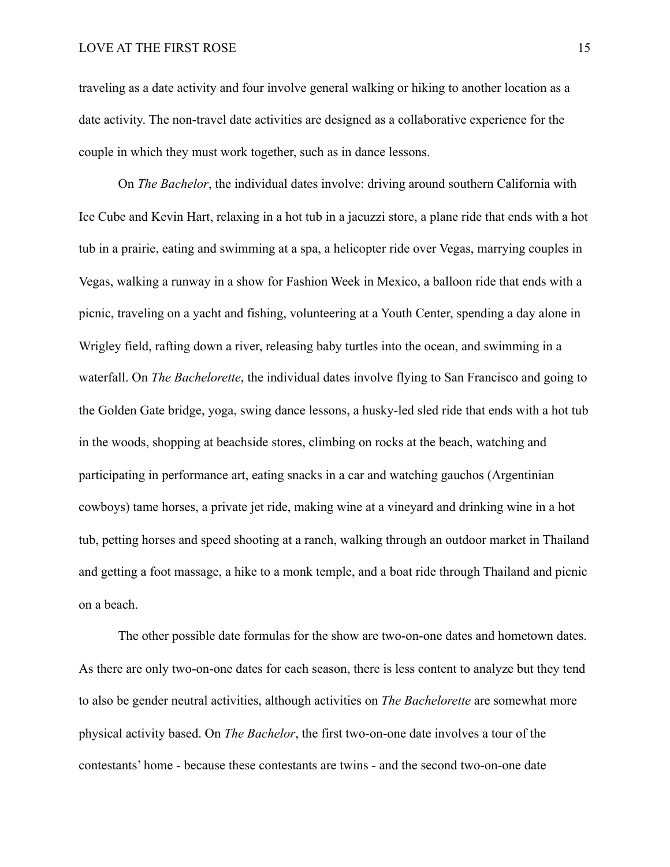traveling as a date activity and four involve general walking or hiking to another location as a date activity. The non-travel date activities are designed as a collaborative experience for the couple in which they must work together, such as in dance lessons.

 On *The Bachelor*, the individual dates involve: driving around southern California with Ice Cube and Kevin Hart, relaxing in a hot tub in a jacuzzi store, a plane ride that ends with a hot tub in a prairie, eating and swimming at a spa, a helicopter ride over Vegas, marrying couples in Vegas, walking a runway in a show for Fashion Week in Mexico, a balloon ride that ends with a picnic, traveling on a yacht and fishing, volunteering at a Youth Center, spending a day alone in Wrigley field, rafting down a river, releasing baby turtles into the ocean, and swimming in a waterfall. On *The Bachelorette*, the individual dates involve flying to San Francisco and going to the Golden Gate bridge, yoga, swing dance lessons, a husky-led sled ride that ends with a hot tub in the woods, shopping at beachside stores, climbing on rocks at the beach, watching and participating in performance art, eating snacks in a car and watching gauchos (Argentinian cowboys) tame horses, a private jet ride, making wine at a vineyard and drinking wine in a hot tub, petting horses and speed shooting at a ranch, walking through an outdoor market in Thailand and getting a foot massage, a hike to a monk temple, and a boat ride through Thailand and picnic on a beach.

 The other possible date formulas for the show are two-on-one dates and hometown dates. As there are only two-on-one dates for each season, there is less content to analyze but they tend to also be gender neutral activities, although activities on *The Bachelorette* are somewhat more physical activity based. On *The Bachelor*, the first two-on-one date involves a tour of the contestants' home - because these contestants are twins - and the second two-on-one date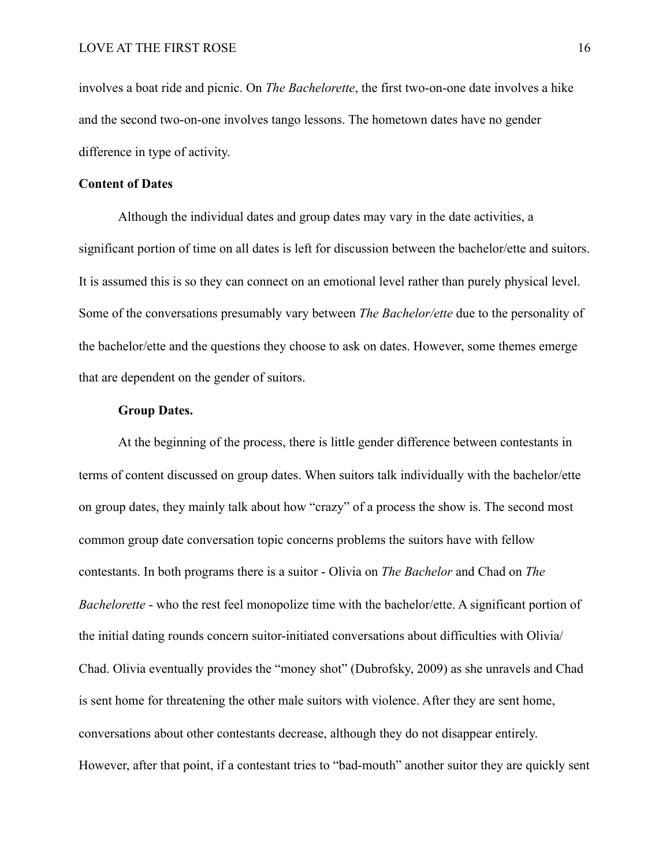involves a boat ride and picnic. On *The Bachelorette*, the first two-on-one date involves a hike and the second two-on-one involves tango lessons. The hometown dates have no gender difference in type of activity.

### **Content of Dates**

 Although the individual dates and group dates may vary in the date activities, a significant portion of time on all dates is left for discussion between the bachelor/ette and suitors. It is assumed this is so they can connect on an emotional level rather than purely physical level. Some of the conversations presumably vary between *The Bachelor/ette* due to the personality of the bachelor/ette and the questions they choose to ask on dates. However, some themes emerge that are dependent on the gender of suitors.

### **Group Dates.**

 At the beginning of the process, there is little gender difference between contestants in terms of content discussed on group dates. When suitors talk individually with the bachelor/ette on group dates, they mainly talk about how "crazy" of a process the show is. The second most common group date conversation topic concerns problems the suitors have with fellow contestants. In both programs there is a suitor - Olivia on *The Bachelor* and Chad on *The Bachelorette* - who the rest feel monopolize time with the bachelor/ette. A significant portion of the initial dating rounds concern suitor-initiated conversations about difficulties with Olivia/ Chad. Olivia eventually provides the "money shot" (Dubrofsky, 2009) as she unravels and Chad is sent home for threatening the other male suitors with violence. After they are sent home, conversations about other contestants decrease, although they do not disappear entirely. However, after that point, if a contestant tries to "bad-mouth" another suitor they are quickly sent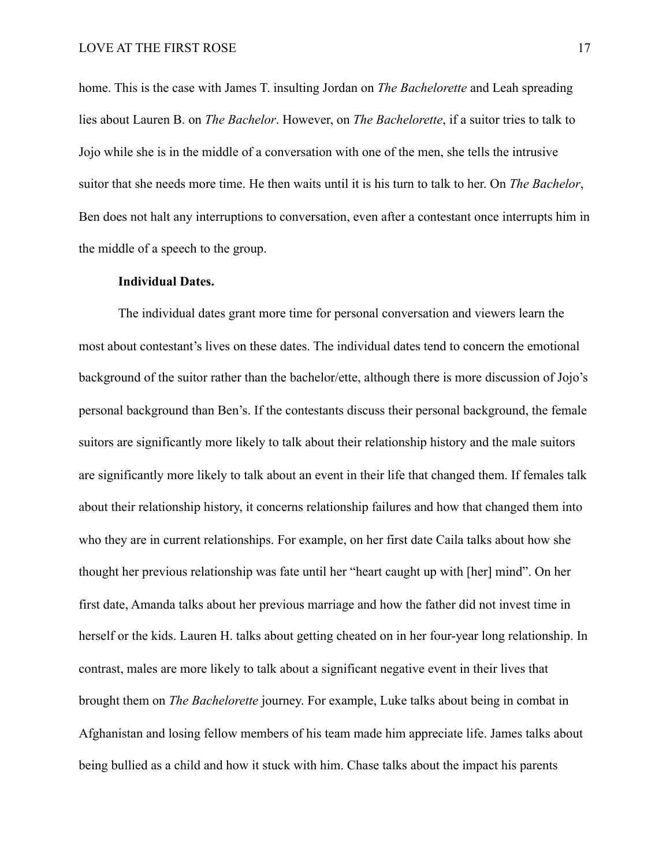home. This is the case with James T. insulting Jordan on *The Bachelorette* and Leah spreading lies about Lauren B. on *The Bachelor*. However, on *The Bachelorette*, if a suitor tries to talk to Jojo while she is in the middle of a conversation with one of the men, she tells the intrusive suitor that she needs more time. He then waits until it is his turn to talk to her. On *The Bachelor*, Ben does not halt any interruptions to conversation, even after a contestant once interrupts him in the middle of a speech to the group.

#### **Individual Dates.**

 The individual dates grant more time for personal conversation and viewers learn the most about contestant's lives on these dates. The individual dates tend to concern the emotional background of the suitor rather than the bachelor/ette, although there is more discussion of Jojo's personal background than Ben's. If the contestants discuss their personal background, the female suitors are significantly more likely to talk about their relationship history and the male suitors are significantly more likely to talk about an event in their life that changed them. If females talk about their relationship history, it concerns relationship failures and how that changed them into who they are in current relationships. For example, on her first date Caila talks about how she thought her previous relationship was fate until her "heart caught up with [her] mind". On her first date, Amanda talks about her previous marriage and how the father did not invest time in herself or the kids. Lauren H. talks about getting cheated on in her four-year long relationship. In contrast, males are more likely to talk about a significant negative event in their lives that brought them on *The Bachelorette* journey. For example, Luke talks about being in combat in Afghanistan and losing fellow members of his team made him appreciate life. James talks about being bullied as a child and how it stuck with him. Chase talks about the impact his parents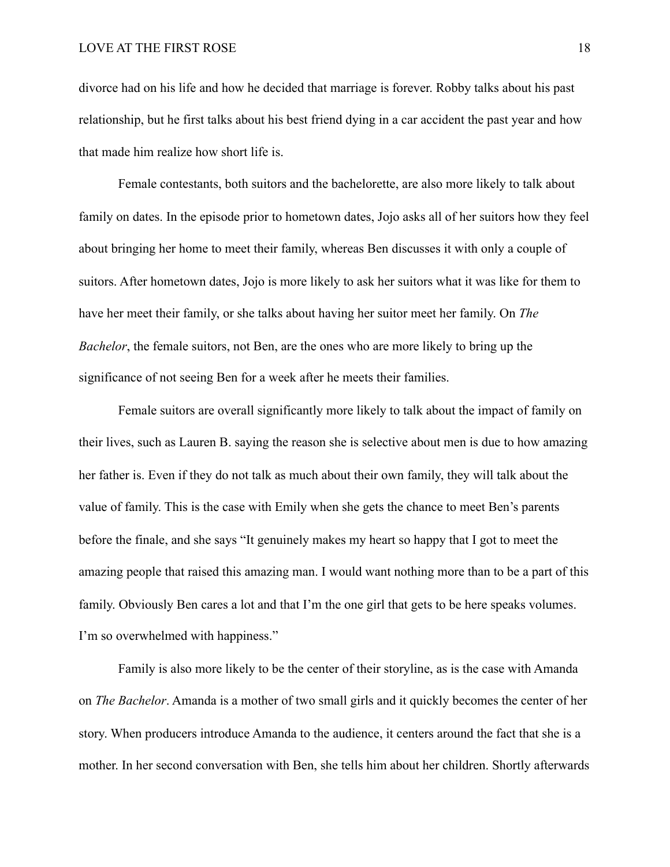divorce had on his life and how he decided that marriage is forever. Robby talks about his past relationship, but he first talks about his best friend dying in a car accident the past year and how that made him realize how short life is.

 Female contestants, both suitors and the bachelorette, are also more likely to talk about family on dates. In the episode prior to hometown dates, Jojo asks all of her suitors how they feel about bringing her home to meet their family, whereas Ben discusses it with only a couple of suitors. After hometown dates, Jojo is more likely to ask her suitors what it was like for them to have her meet their family, or she talks about having her suitor meet her family. On *The Bachelor*, the female suitors, not Ben, are the ones who are more likely to bring up the significance of not seeing Ben for a week after he meets their families.

 Female suitors are overall significantly more likely to talk about the impact of family on their lives, such as Lauren B. saying the reason she is selective about men is due to how amazing her father is. Even if they do not talk as much about their own family, they will talk about the value of family. This is the case with Emily when she gets the chance to meet Ben's parents before the finale, and she says "It genuinely makes my heart so happy that I got to meet the amazing people that raised this amazing man. I would want nothing more than to be a part of this family. Obviously Ben cares a lot and that I'm the one girl that gets to be here speaks volumes. I'm so overwhelmed with happiness."

 Family is also more likely to be the center of their storyline, as is the case with Amanda on *The Bachelor*. Amanda is a mother of two small girls and it quickly becomes the center of her story. When producers introduce Amanda to the audience, it centers around the fact that she is a mother. In her second conversation with Ben, she tells him about her children. Shortly afterwards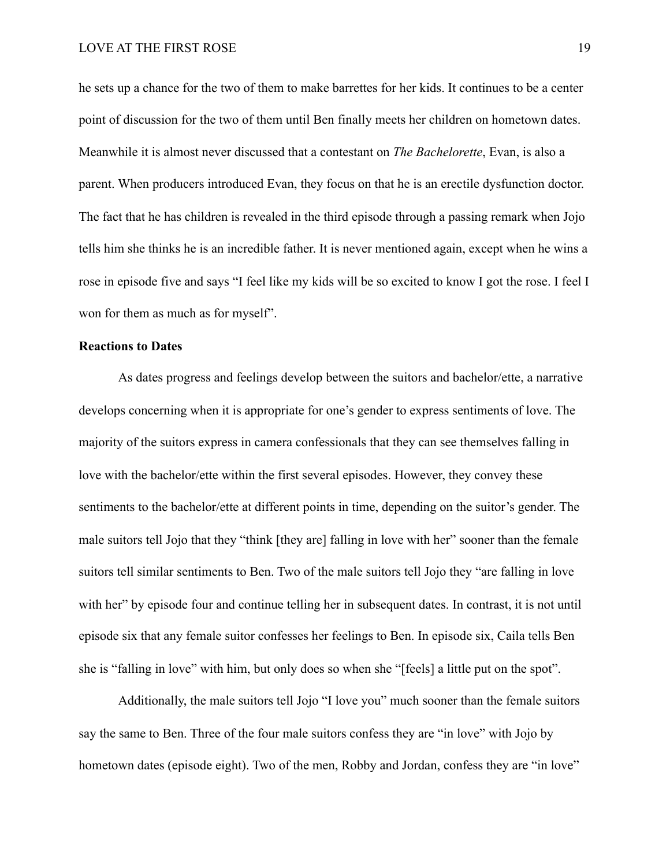he sets up a chance for the two of them to make barrettes for her kids. It continues to be a center point of discussion for the two of them until Ben finally meets her children on hometown dates. Meanwhile it is almost never discussed that a contestant on *The Bachelorette*, Evan, is also a parent. When producers introduced Evan, they focus on that he is an erectile dysfunction doctor. The fact that he has children is revealed in the third episode through a passing remark when Jojo tells him she thinks he is an incredible father. It is never mentioned again, except when he wins a rose in episode five and says "I feel like my kids will be so excited to know I got the rose. I feel I won for them as much as for myself".

# **Reactions to Dates**

 As dates progress and feelings develop between the suitors and bachelor/ette, a narrative develops concerning when it is appropriate for one's gender to express sentiments of love. The majority of the suitors express in camera confessionals that they can see themselves falling in love with the bachelor/ette within the first several episodes. However, they convey these sentiments to the bachelor/ette at different points in time, depending on the suitor's gender. The male suitors tell Jojo that they "think [they are] falling in love with her" sooner than the female suitors tell similar sentiments to Ben. Two of the male suitors tell Jojo they "are falling in love with her" by episode four and continue telling her in subsequent dates. In contrast, it is not until episode six that any female suitor confesses her feelings to Ben. In episode six, Caila tells Ben she is "falling in love" with him, but only does so when she "[feels] a little put on the spot".

 Additionally, the male suitors tell Jojo "I love you" much sooner than the female suitors say the same to Ben. Three of the four male suitors confess they are "in love" with Jojo by hometown dates (episode eight). Two of the men, Robby and Jordan, confess they are "in love"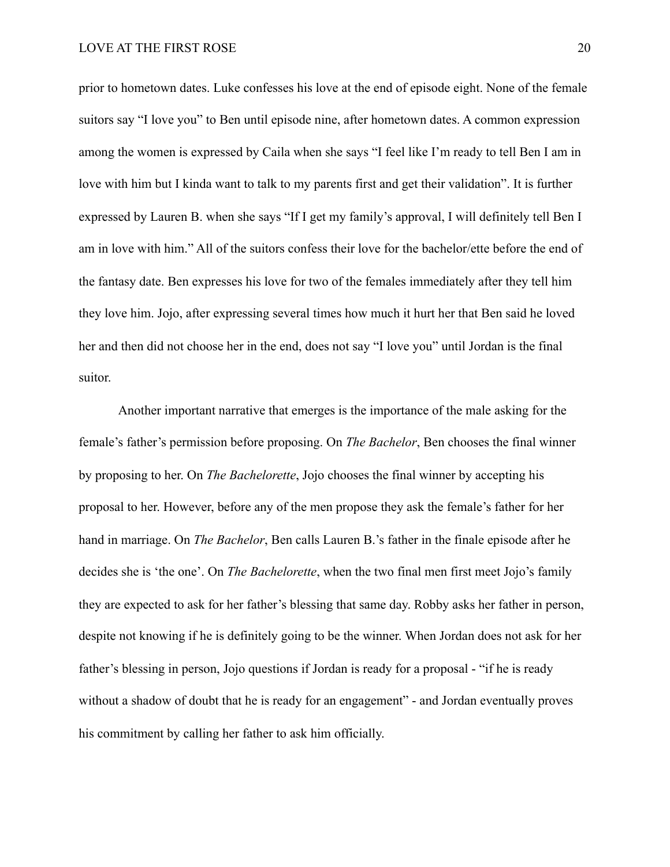prior to hometown dates. Luke confesses his love at the end of episode eight. None of the female suitors say "I love you" to Ben until episode nine, after hometown dates. A common expression among the women is expressed by Caila when she says "I feel like I'm ready to tell Ben I am in love with him but I kinda want to talk to my parents first and get their validation". It is further expressed by Lauren B. when she says "If I get my family's approval, I will definitely tell Ben I am in love with him." All of the suitors confess their love for the bachelor/ette before the end of the fantasy date. Ben expresses his love for two of the females immediately after they tell him they love him. Jojo, after expressing several times how much it hurt her that Ben said he loved her and then did not choose her in the end, does not say "I love you" until Jordan is the final suitor.

 Another important narrative that emerges is the importance of the male asking for the female's father's permission before proposing. On *The Bachelor*, Ben chooses the final winner by proposing to her. On *The Bachelorette*, Jojo chooses the final winner by accepting his proposal to her. However, before any of the men propose they ask the female's father for her hand in marriage. On *The Bachelor*, Ben calls Lauren B.'s father in the finale episode after he decides she is 'the one'. On *The Bachelorette*, when the two final men first meet Jojo's family they are expected to ask for her father's blessing that same day. Robby asks her father in person, despite not knowing if he is definitely going to be the winner. When Jordan does not ask for her father's blessing in person, Jojo questions if Jordan is ready for a proposal - "if he is ready without a shadow of doubt that he is ready for an engagement" - and Jordan eventually proves his commitment by calling her father to ask him officially.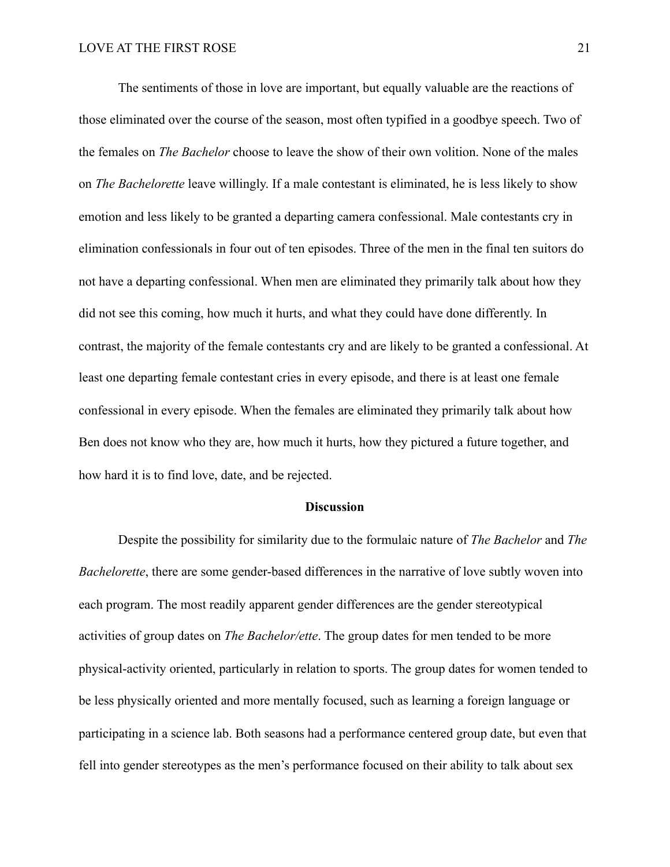The sentiments of those in love are important, but equally valuable are the reactions of those eliminated over the course of the season, most often typified in a goodbye speech. Two of the females on *The Bachelor* choose to leave the show of their own volition. None of the males on *The Bachelorette* leave willingly. If a male contestant is eliminated, he is less likely to show emotion and less likely to be granted a departing camera confessional. Male contestants cry in elimination confessionals in four out of ten episodes. Three of the men in the final ten suitors do not have a departing confessional. When men are eliminated they primarily talk about how they did not see this coming, how much it hurts, and what they could have done differently. In contrast, the majority of the female contestants cry and are likely to be granted a confessional. At least one departing female contestant cries in every episode, and there is at least one female confessional in every episode. When the females are eliminated they primarily talk about how Ben does not know who they are, how much it hurts, how they pictured a future together, and how hard it is to find love, date, and be rejected.

### **Discussion**

 Despite the possibility for similarity due to the formulaic nature of *The Bachelor* and *The Bachelorette*, there are some gender-based differences in the narrative of love subtly woven into each program. The most readily apparent gender differences are the gender stereotypical activities of group dates on *The Bachelor/ette*. The group dates for men tended to be more physical-activity oriented, particularly in relation to sports. The group dates for women tended to be less physically oriented and more mentally focused, such as learning a foreign language or participating in a science lab. Both seasons had a performance centered group date, but even that fell into gender stereotypes as the men's performance focused on their ability to talk about sex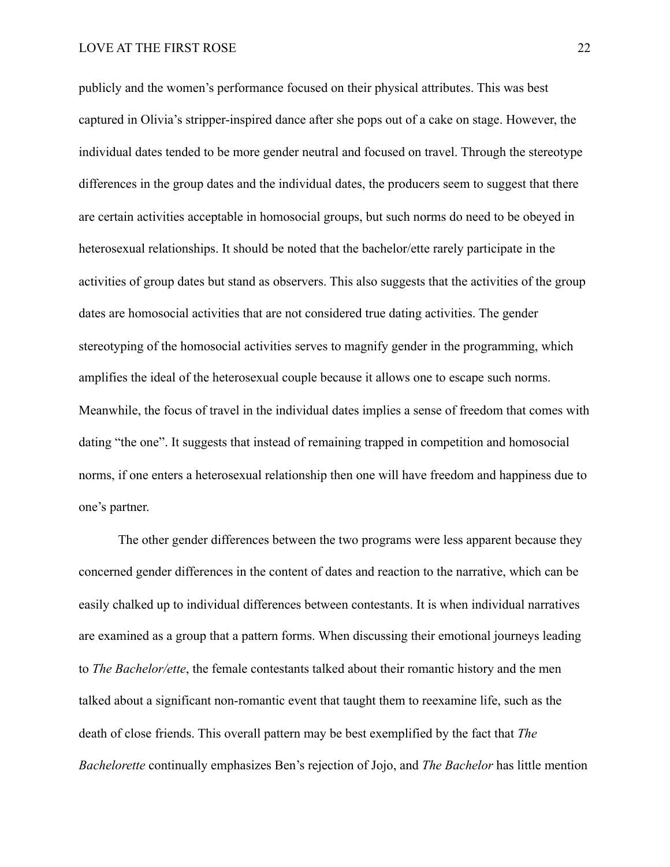# LOVE AT THE FIRST ROSE 22

publicly and the women's performance focused on their physical attributes. This was best captured in Olivia's stripper-inspired dance after she pops out of a cake on stage. However, the individual dates tended to be more gender neutral and focused on travel. Through the stereotype differences in the group dates and the individual dates, the producers seem to suggest that there are certain activities acceptable in homosocial groups, but such norms do need to be obeyed in heterosexual relationships. It should be noted that the bachelor/ette rarely participate in the activities of group dates but stand as observers. This also suggests that the activities of the group dates are homosocial activities that are not considered true dating activities. The gender stereotyping of the homosocial activities serves to magnify gender in the programming, which amplifies the ideal of the heterosexual couple because it allows one to escape such norms. Meanwhile, the focus of travel in the individual dates implies a sense of freedom that comes with dating "the one". It suggests that instead of remaining trapped in competition and homosocial norms, if one enters a heterosexual relationship then one will have freedom and happiness due to one's partner.

 The other gender differences between the two programs were less apparent because they concerned gender differences in the content of dates and reaction to the narrative, which can be easily chalked up to individual differences between contestants. It is when individual narratives are examined as a group that a pattern forms. When discussing their emotional journeys leading to *The Bachelor/ette*, the female contestants talked about their romantic history and the men talked about a significant non-romantic event that taught them to reexamine life, such as the death of close friends. This overall pattern may be best exemplified by the fact that *The Bachelorette* continually emphasizes Ben's rejection of Jojo, and *The Bachelor* has little mention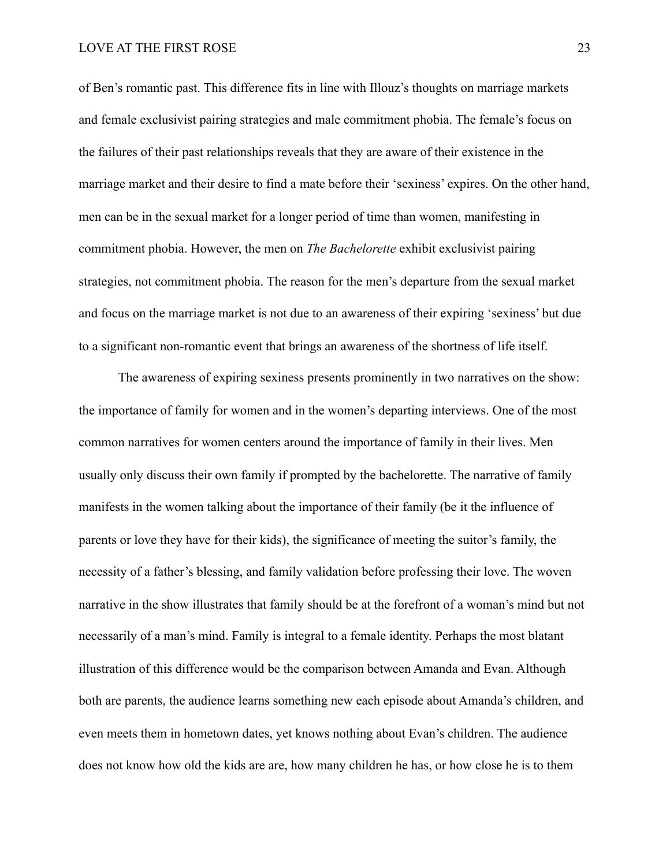of Ben's romantic past. This difference fits in line with Illouz's thoughts on marriage markets and female exclusivist pairing strategies and male commitment phobia. The female's focus on the failures of their past relationships reveals that they are aware of their existence in the marriage market and their desire to find a mate before their 'sexiness' expires. On the other hand, men can be in the sexual market for a longer period of time than women, manifesting in commitment phobia. However, the men on *The Bachelorette* exhibit exclusivist pairing strategies, not commitment phobia. The reason for the men's departure from the sexual market and focus on the marriage market is not due to an awareness of their expiring 'sexiness' but due to a significant non-romantic event that brings an awareness of the shortness of life itself.

 The awareness of expiring sexiness presents prominently in two narratives on the show: the importance of family for women and in the women's departing interviews. One of the most common narratives for women centers around the importance of family in their lives. Men usually only discuss their own family if prompted by the bachelorette. The narrative of family manifests in the women talking about the importance of their family (be it the influence of parents or love they have for their kids), the significance of meeting the suitor's family, the necessity of a father's blessing, and family validation before professing their love. The woven narrative in the show illustrates that family should be at the forefront of a woman's mind but not necessarily of a man's mind. Family is integral to a female identity. Perhaps the most blatant illustration of this difference would be the comparison between Amanda and Evan. Although both are parents, the audience learns something new each episode about Amanda's children, and even meets them in hometown dates, yet knows nothing about Evan's children. The audience does not know how old the kids are are, how many children he has, or how close he is to them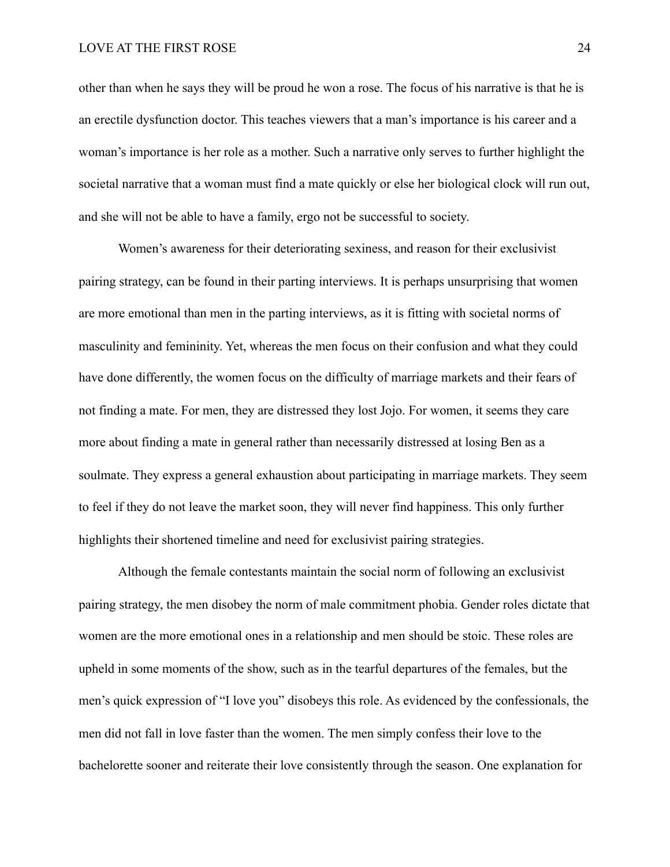# LOVE AT THE FIRST ROSE 24

other than when he says they will be proud he won a rose. The focus of his narrative is that he is an erectile dysfunction doctor. This teaches viewers that a man's importance is his career and a woman's importance is her role as a mother. Such a narrative only serves to further highlight the societal narrative that a woman must find a mate quickly or else her biological clock will run out, and she will not be able to have a family, ergo not be successful to society.

 Women's awareness for their deteriorating sexiness, and reason for their exclusivist pairing strategy, can be found in their parting interviews. It is perhaps unsurprising that women are more emotional than men in the parting interviews, as it is fitting with societal norms of masculinity and femininity. Yet, whereas the men focus on their confusion and what they could have done differently, the women focus on the difficulty of marriage markets and their fears of not finding a mate. For men, they are distressed they lost Jojo. For women, it seems they care more about finding a mate in general rather than necessarily distressed at losing Ben as a soulmate. They express a general exhaustion about participating in marriage markets. They seem to feel if they do not leave the market soon, they will never find happiness. This only further highlights their shortened timeline and need for exclusivist pairing strategies.

 Although the female contestants maintain the social norm of following an exclusivist pairing strategy, the men disobey the norm of male commitment phobia. Gender roles dictate that women are the more emotional ones in a relationship and men should be stoic. These roles are upheld in some moments of the show, such as in the tearful departures of the females, but the men's quick expression of "I love you" disobeys this role. As evidenced by the confessionals, the men did not fall in love faster than the women. The men simply confess their love to the bachelorette sooner and reiterate their love consistently through the season. One explanation for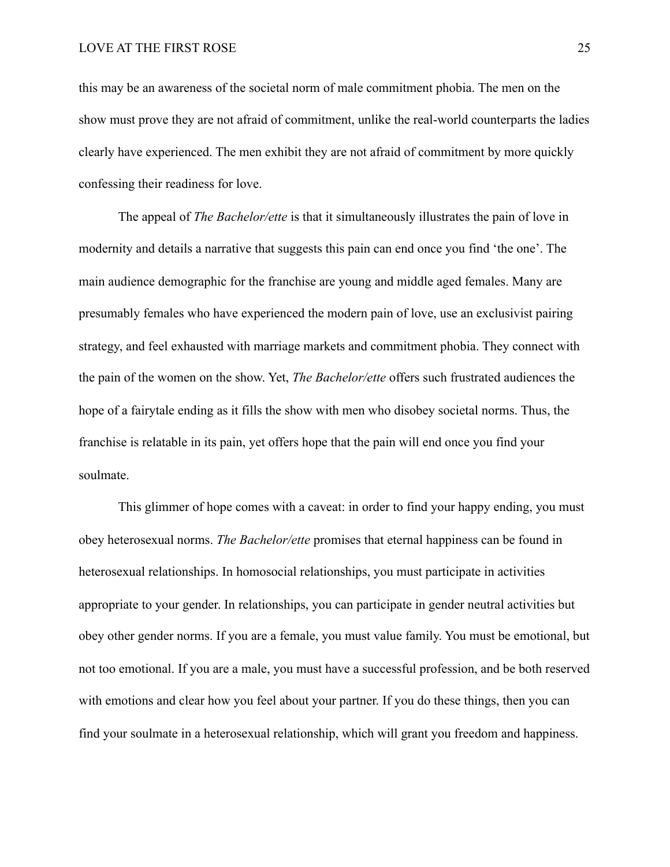this may be an awareness of the societal norm of male commitment phobia. The men on the show must prove they are not afraid of commitment, unlike the real-world counterparts the ladies clearly have experienced. The men exhibit they are not afraid of commitment by more quickly confessing their readiness for love.

 The appeal of *The Bachelor/ette* is that it simultaneously illustrates the pain of love in modernity and details a narrative that suggests this pain can end once you find 'the one'. The main audience demographic for the franchise are young and middle aged females. Many are presumably females who have experienced the modern pain of love, use an exclusivist pairing strategy, and feel exhausted with marriage markets and commitment phobia. They connect with the pain of the women on the show. Yet, *The Bachelor/ette* offers such frustrated audiences the hope of a fairytale ending as it fills the show with men who disobey societal norms. Thus, the franchise is relatable in its pain, yet offers hope that the pain will end once you find your soulmate.

 This glimmer of hope comes with a caveat: in order to find your happy ending, you must obey heterosexual norms. *The Bachelor/ette* promises that eternal happiness can be found in heterosexual relationships. In homosocial relationships, you must participate in activities appropriate to your gender. In relationships, you can participate in gender neutral activities but obey other gender norms. If you are a female, you must value family. You must be emotional, but not too emotional. If you are a male, you must have a successful profession, and be both reserved with emotions and clear how you feel about your partner. If you do these things, then you can find your soulmate in a heterosexual relationship, which will grant you freedom and happiness.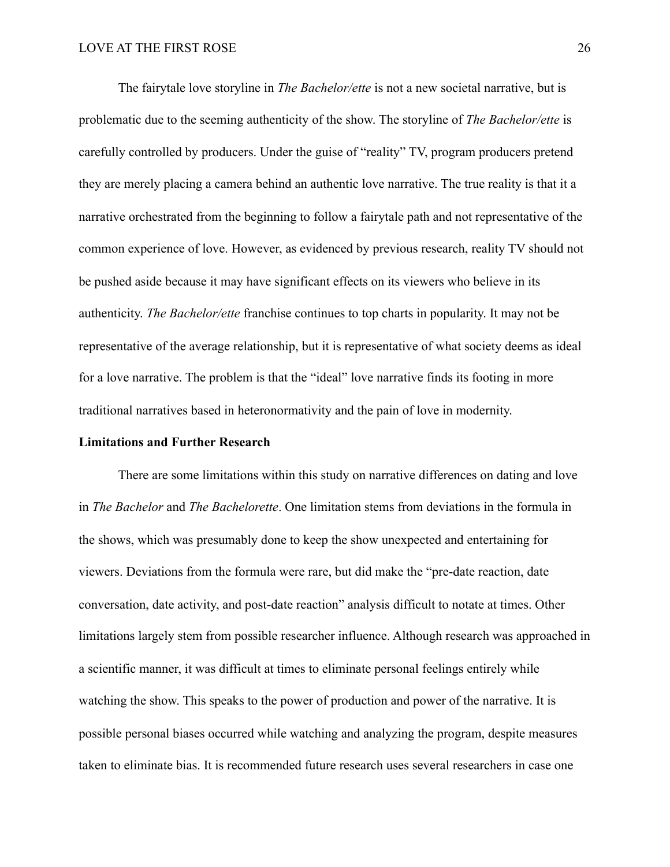The fairytale love storyline in *The Bachelor/ette* is not a new societal narrative, but is problematic due to the seeming authenticity of the show. The storyline of *The Bachelor/ette* is carefully controlled by producers. Under the guise of "reality" TV, program producers pretend they are merely placing a camera behind an authentic love narrative. The true reality is that it a narrative orchestrated from the beginning to follow a fairytale path and not representative of the common experience of love. However, as evidenced by previous research, reality TV should not be pushed aside because it may have significant effects on its viewers who believe in its authenticity. *The Bachelor/ette* franchise continues to top charts in popularity. It may not be representative of the average relationship, but it is representative of what society deems as ideal for a love narrative. The problem is that the "ideal" love narrative finds its footing in more traditional narratives based in heteronormativity and the pain of love in modernity.

### **Limitations and Further Research**

 There are some limitations within this study on narrative differences on dating and love in *The Bachelor* and *The Bachelorette*. One limitation stems from deviations in the formula in the shows, which was presumably done to keep the show unexpected and entertaining for viewers. Deviations from the formula were rare, but did make the "pre-date reaction, date conversation, date activity, and post-date reaction" analysis difficult to notate at times. Other limitations largely stem from possible researcher influence. Although research was approached in a scientific manner, it was difficult at times to eliminate personal feelings entirely while watching the show. This speaks to the power of production and power of the narrative. It is possible personal biases occurred while watching and analyzing the program, despite measures taken to eliminate bias. It is recommended future research uses several researchers in case one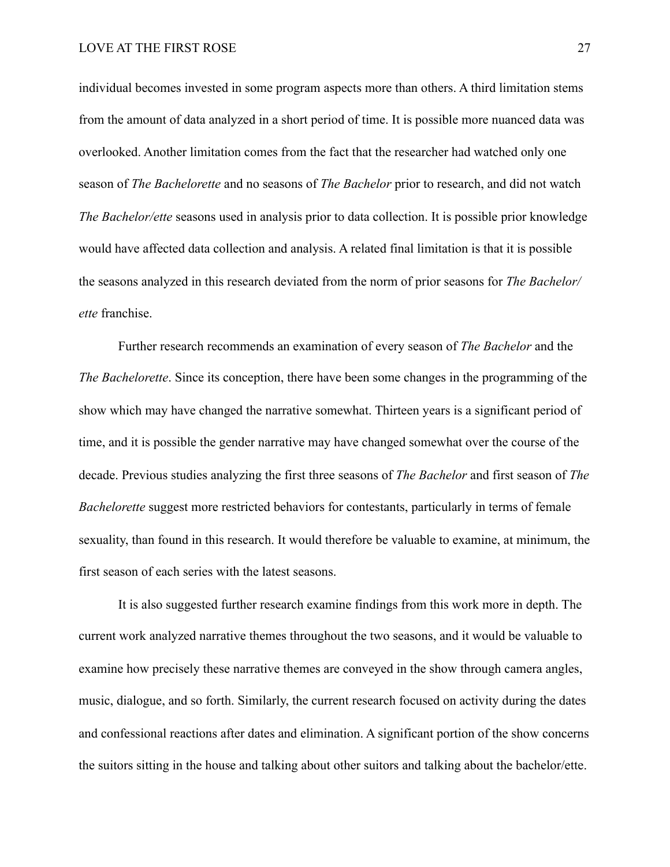individual becomes invested in some program aspects more than others. A third limitation stems from the amount of data analyzed in a short period of time. It is possible more nuanced data was overlooked. Another limitation comes from the fact that the researcher had watched only one season of *The Bachelorette* and no seasons of *The Bachelor* prior to research, and did not watch *The Bachelor/ette* seasons used in analysis prior to data collection. It is possible prior knowledge would have affected data collection and analysis. A related final limitation is that it is possible the seasons analyzed in this research deviated from the norm of prior seasons for *The Bachelor/ ette* franchise.

 Further research recommends an examination of every season of *The Bachelor* and the *The Bachelorette*. Since its conception, there have been some changes in the programming of the show which may have changed the narrative somewhat. Thirteen years is a significant period of time, and it is possible the gender narrative may have changed somewhat over the course of the decade. Previous studies analyzing the first three seasons of *The Bachelor* and first season of *The Bachelorette* suggest more restricted behaviors for contestants, particularly in terms of female sexuality, than found in this research. It would therefore be valuable to examine, at minimum, the first season of each series with the latest seasons.

 It is also suggested further research examine findings from this work more in depth. The current work analyzed narrative themes throughout the two seasons, and it would be valuable to examine how precisely these narrative themes are conveyed in the show through camera angles, music, dialogue, and so forth. Similarly, the current research focused on activity during the dates and confessional reactions after dates and elimination. A significant portion of the show concerns the suitors sitting in the house and talking about other suitors and talking about the bachelor/ette.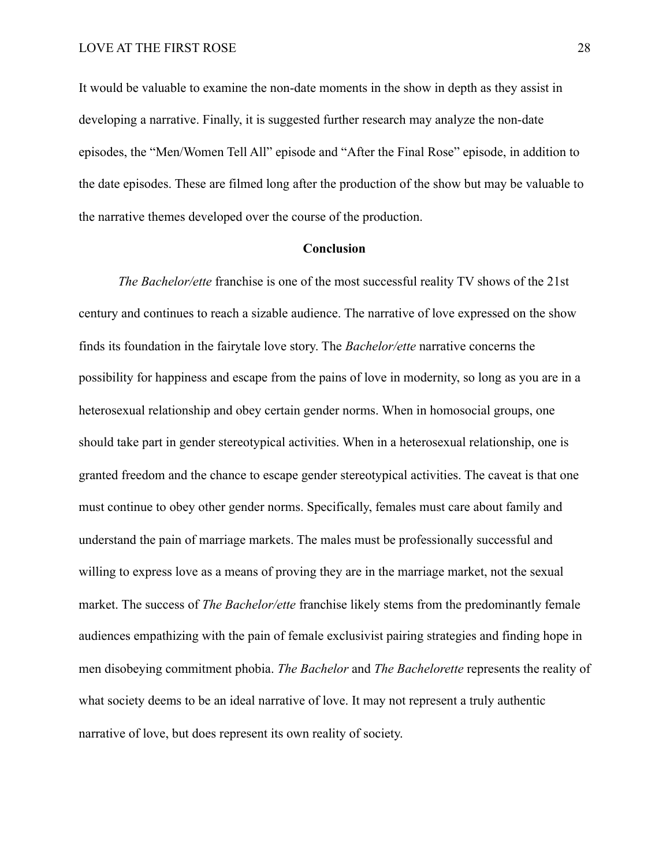It would be valuable to examine the non-date moments in the show in depth as they assist in developing a narrative. Finally, it is suggested further research may analyze the non-date episodes, the "Men/Women Tell All" episode and "After the Final Rose" episode, in addition to the date episodes. These are filmed long after the production of the show but may be valuable to the narrative themes developed over the course of the production.

#### **Conclusion**

*The Bachelor/ette* franchise is one of the most successful reality TV shows of the 21st century and continues to reach a sizable audience. The narrative of love expressed on the show finds its foundation in the fairytale love story. The *Bachelor/ette* narrative concerns the possibility for happiness and escape from the pains of love in modernity, so long as you are in a heterosexual relationship and obey certain gender norms. When in homosocial groups, one should take part in gender stereotypical activities. When in a heterosexual relationship, one is granted freedom and the chance to escape gender stereotypical activities. The caveat is that one must continue to obey other gender norms. Specifically, females must care about family and understand the pain of marriage markets. The males must be professionally successful and willing to express love as a means of proving they are in the marriage market, not the sexual market. The success of *The Bachelor/ette* franchise likely stems from the predominantly female audiences empathizing with the pain of female exclusivist pairing strategies and finding hope in men disobeying commitment phobia. *The Bachelor* and *The Bachelorette* represents the reality of what society deems to be an ideal narrative of love. It may not represent a truly authentic narrative of love, but does represent its own reality of society.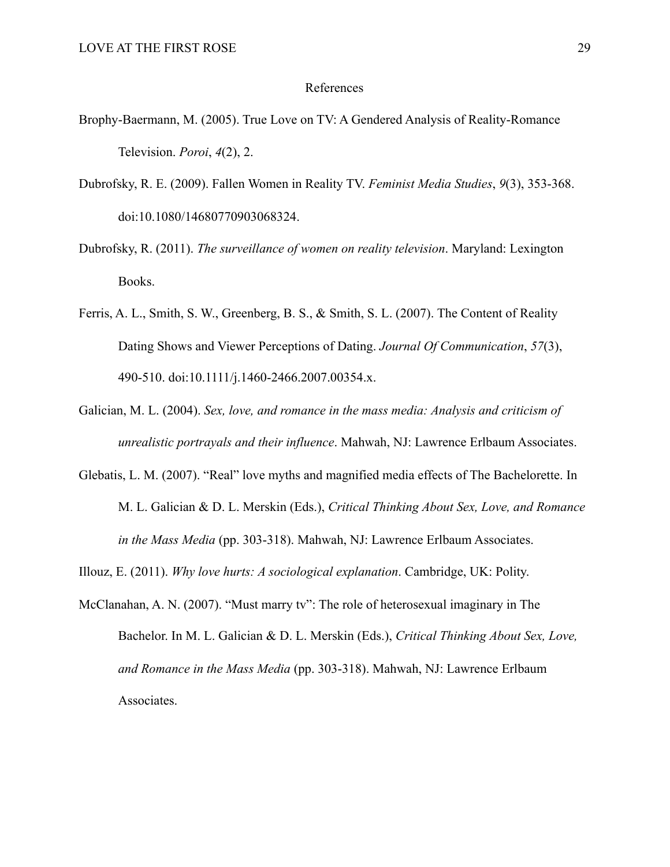#### References

- Brophy-Baermann, M. (2005). True Love on TV: A Gendered Analysis of Reality-Romance Television. *Poroi*, *4*(2), 2.
- Dubrofsky, R. E. (2009). Fallen Women in Reality TV. *Feminist Media Studies*, *9*(3), 353-368. doi:10.1080/14680770903068324.
- Dubrofsky, R. (2011). *The surveillance of women on reality television*. Maryland: Lexington Books.
- Ferris, A. L., Smith, S. W., Greenberg, B. S., & Smith, S. L. (2007). The Content of Reality Dating Shows and Viewer Perceptions of Dating. *Journal Of Communication*, *57*(3), 490-510. doi:10.1111/j.1460-2466.2007.00354.x.
- Galician, M. L. (2004). *Sex, love, and romance in the mass media: Analysis and criticism of unrealistic portrayals and their influence*. Mahwah, NJ: Lawrence Erlbaum Associates.
- Glebatis, L. M. (2007). "Real" love myths and magnified media effects of The Bachelorette. In M. L. Galician & D. L. Merskin (Eds.), *Critical Thinking About Sex, Love, and Romance in the Mass Media* (pp. 303-318). Mahwah, NJ: Lawrence Erlbaum Associates.
- Illouz, E. (2011). *Why love hurts: A sociological explanation*. Cambridge, UK: Polity.
- McClanahan, A. N. (2007). "Must marry tv": The role of heterosexual imaginary in The Bachelor. In M. L. Galician & D. L. Merskin (Eds.), *Critical Thinking About Sex, Love, and Romance in the Mass Media* (pp. 303-318). Mahwah, NJ: Lawrence Erlbaum Associates.